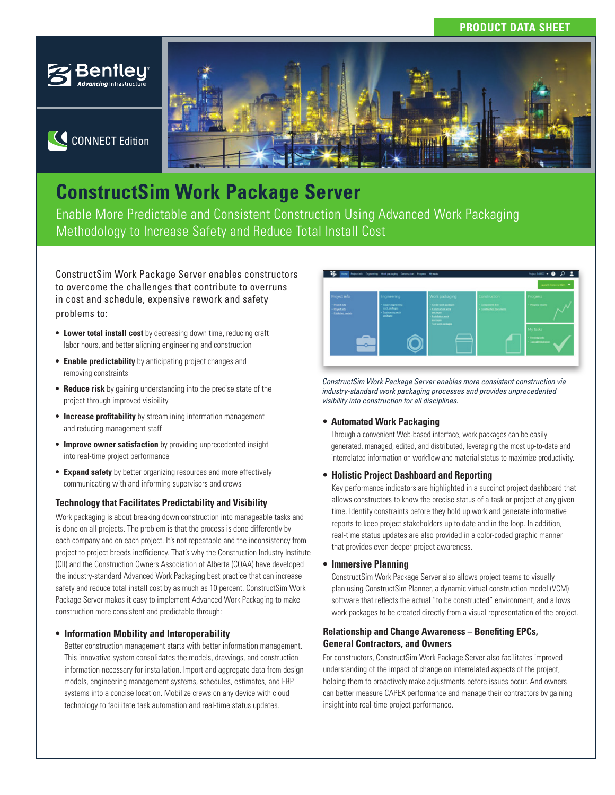## **PRODUCT DATA SHEET**



C CONNECT Edition



# **ConstructSim Work Package Server**

Enable More Predictable and Consistent Construction Using Advanced Work Packaging Methodology to Increase Safety and Reduce Total Install Cost

ConstructSim Work Package Server enables constructors to overcome the challenges that contribute to overruns in cost and schedule, expensive rework and safety problems to:

- **Lower total install cost** by decreasing down time, reducing craft labor hours, and better aligning engineering and construction
- **Enable predictability** by anticipating project changes and removing constraints
- **Reduce risk** by gaining understanding into the precise state of the project through improved visibility
- **Increase profitability** by streamlining information management and reducing management staff
- **Improve owner satisfaction** by providing unprecedented insight into real-time project performance
- **Expand safety** by better organizing resources and more effectively communicating with and informing supervisors and crews

#### **Technology that Facilitates Predictability and Visibility**

Work packaging is about breaking down construction into manageable tasks and is done on all projects. The problem is that the process is done differently by each company and on each project. It's not repeatable and the inconsistency from project to project breeds inefficiency. That's why the Construction Industry Institute (CII) and the Construction Owners Association of Alberta (COAA) have developed the industry-standard Advanced Work Packaging best practice that can increase safety and reduce total install cost by as much as 10 percent. ConstructSim Work Package Server makes it easy to implement Advanced Work Packaging to make construction more consistent and predictable through:

#### **• Information Mobility and Interoperability**

Better construction management starts with better information management. This innovative system consolidates the models, drawings, and construction information necessary for installation. Import and aggregate data from design models, engineering management systems, schedules, estimates, and ERP systems into a concise location. Mobilize crews on any device with cloud technology to facilitate task automation and real-time status updates.



*ConstructSim Work Package Server enables more consistent construction via industry-standard work packaging processes and provides unprecedented visibility into construction for all disciplines.*

#### **• Automated Work Packaging**

Through a convenient Web-based interface, work packages can be easily generated, managed, edited, and distributed, leveraging the most up-to-date and interrelated information on workflow and material status to maximize productivity.

#### **• Holistic Project Dashboard and Reporting**

Key performance indicators are highlighted in a succinct project dashboard that allows constructors to know the precise status of a task or project at any given time. Identify constraints before they hold up work and generate informative reports to keep project stakeholders up to date and in the loop. In addition, real-time status updates are also provided in a color-coded graphic manner that provides even deeper project awareness.

**• Immersive Planning**

ConstructSim Work Package Server also allows project teams to visually plan using ConstructSim Planner, a dynamic virtual construction model (VCM) software that reflects the actual "to be constructed" environment, and allows work packages to be created directly from a visual representation of the project.

#### **Relationship and Change Awareness - Benefiting EPCs, General Contractors, and Owners**

For constructors, ConstructSim Work Package Server also facilitates improved understanding of the impact of change on interrelated aspects of the project, helping them to proactively make adjustments before issues occur. And owners can better measure CAPEX performance and manage their contractors by gaining insight into real-time project performance.